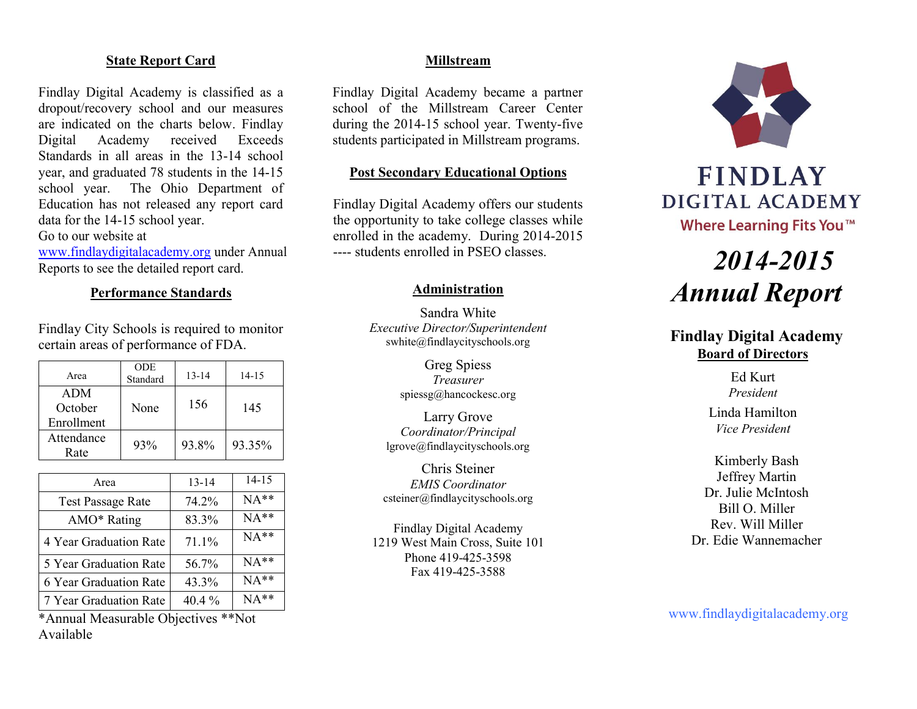# **State Report Card**

Findlay Digital Academy is classified as a dropout/recovery school and our measures are indicated on the charts below. Findlay Digital Academy received Exceeds Standards in all areas in the 13-14 school year, and graduated 78 students in the 14-15 school year. The Ohio Department of Education has not released any report card data for the 14-15 school year.

Go to our website at

[www.findlaydigitalacademy.org](http://www.findlaydigitalacademy.org/) under Annual Reports to see the detailed report card.

# **Performance Standards**

Findlay City Schools is required to monitor certain areas of performance of FDA.

| Area                                | <b>ODE</b><br>Standard | $13 - 14$ | $14 - 15$ |
|-------------------------------------|------------------------|-----------|-----------|
| <b>ADM</b><br>October<br>Enrollment | None                   | 156       | 145       |
| Attendance<br>Rate                  | 93%                    | 93.8%     | 93.35%    |

| Area                     | $13 - 14$ | $14 - 15$ |
|--------------------------|-----------|-----------|
| <b>Test Passage Rate</b> | 74.2%     | $NA**$    |
| AMO* Rating              | 83.3%     | $NA**$    |
| 4 Year Graduation Rate   | 71.1%     | $NA**$    |
| 5 Year Graduation Rate   | 56.7%     | $NA**$    |
| 6 Year Graduation Rate   | 43.3%     | $NA**$    |
| 7 Year Graduation Rate   | 40.4 %    | $NA**$    |

\*Annual Measurable Objectives \*\*Not Available

#### **Millstream**

Findlay Digital Academy became a partner school of the Millstream Career Center during the 2014-15 school year. Twenty-five students participated in Millstream programs.

# **Post Secondary Educational Options**

Findlay Digital Academy offers our students the opportunity to take college classes while enrolled in the academy. During 2014-2015 ---- students enrolled in PSEO classes.

#### **Administration**

Sandra White *Executive Director/Superintendent* swhite@findlaycityschools.org

> Greg Spiess *Treasurer* spiessg@hancockesc.org

Larry Grove *Coordinator/Principal* lgrove@findlaycityschools.org

Chris Steiner *EMIS Coordinator* csteiner@findlaycityschools.org

Findlay Digital Academy 1219 West Main Cross, Suite 101 Phone 419-425-3598 Fax 419-425-3588



# **FINDLAY** DIGITAL ACADEMY Where Learning Fits You™

# *2014-2015 Annual Report*

# **Findlay Digital Academy Board of Directors**

Ed Kurt *President*

Linda Hamilton *Vice President*

Kimberly Bash Jeffrey Martin Dr. Julie McIntosh Bill O. Miller Rev. Will Miller Dr. Edie Wannemacher

www.findlaydigitalacademy.org